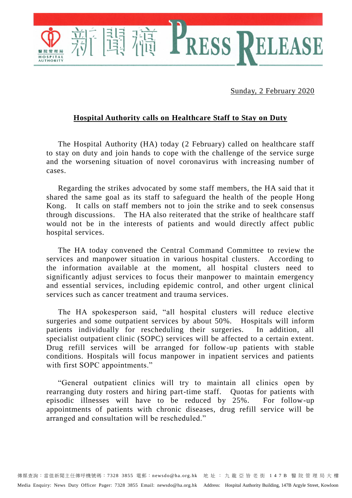Sunday, 2 February 2020

ELEASE

## **Hospital Authority calls on Healthcare Staff to Stay on Duty**

RESS

The Hospital Authority (HA) today (2 February) called on healthcare staff to stay on duty and join hands to cope with the challenge of the service surge and the worsening situation of novel coronavirus with increasing number of cases.

Regarding the strikes advocated by some staff members, the HA said that it shared the same goal as its staff to safeguard the health of the people Hong Kong. It calls on staff members not to join the strike and to seek consensus through discussions. The HA also reiterated that the strike of healthcare staff would not be in the interests of patients and would directly affect public hospital services.

The HA today convened the Central Command Committee to review the services and manpower situation in various hospital clusters. According to the information available at the moment, all hospital clusters need to significantly adjust services to focus their manpower to maintain emergency and essential services, including epidemic control, and other urgent clinical services such as cancer treatment and trauma services.

The HA spokesperson said, "all hospital clusters will reduce elective surgeries and some outpatient services by about 50%. Hospitals will inform patients individually for rescheduling their surgeries. In addition, all specialist outpatient clinic (SOPC) services will be affected to a certain extent. Drug refill services will be arranged for follow-up patients with stable conditions. Hospitals will focus manpower in inpatient services and patients with first SOPC appointments."

"General outpatient clinics will try to maintain all clinics open by rearranging duty rosters and hiring part-time staff. Quotas for patients with episodic illnesses will have to be reduced by 25%. For follow-up appointments of patients with chronic diseases, drug refill service will be arranged and consultation will be rescheduled."